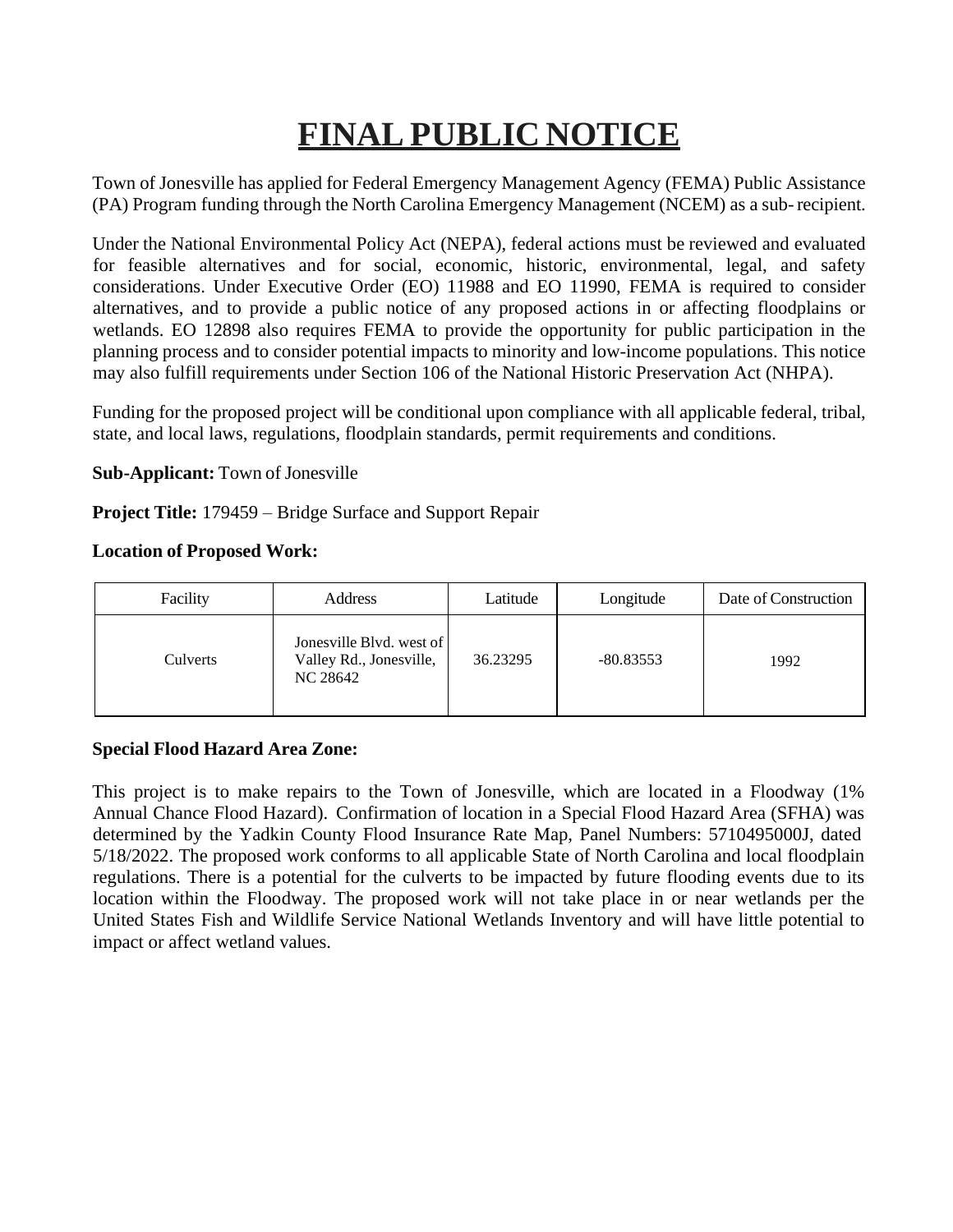# **FINAL PUBLIC NOTICE**

Town of Jonesville has applied for Federal Emergency Management Agency (FEMA) Public Assistance (PA) Program funding through the North Carolina Emergency Management (NCEM) as a sub-recipient.

Under the National Environmental Policy Act (NEPA), federal actions must be reviewed and evaluated for feasible alternatives and for social, economic, historic, environmental, legal, and safety considerations. Under Executive Order (EO) 11988 and EO 11990, FEMA is required to consider alternatives, and to provide a public notice of any proposed actions in or affecting floodplains or wetlands. EO 12898 also requires FEMA to provide the opportunity for public participation in the planning process and to consider potential impacts to minority and low-income populations. This notice may also fulfill requirements under Section 106 of the National Historic Preservation Act (NHPA).

Funding for the proposed project will be conditional upon compliance with all applicable federal, tribal, state, and local laws, regulations, floodplain standards, permit requirements and conditions.

**Sub-Applicant:** Town of Jonesville

**Project Title:** 179459 – Bridge Surface and Support Repair

#### **Location of Proposed Work:**

| Facility | Address                                                         | Latitude | Longitude   | Date of Construction |
|----------|-----------------------------------------------------------------|----------|-------------|----------------------|
| Culverts | Jonesville Blyd. west of<br>Valley Rd., Jonesville,<br>NC 28642 | 36.23295 | $-80.83553$ | 1992                 |

### **Special Flood Hazard Area Zone:**

This project is to make repairs to the Town of Jonesville, which are located in a Floodway (1% Annual Chance Flood Hazard). Confirmation of location in a Special Flood Hazard Area (SFHA) was determined by the Yadkin County Flood Insurance Rate Map, Panel Numbers: 5710495000J, dated 5/18/2022. The proposed work conforms to all applicable State of North Carolina and local floodplain regulations. There is a potential for the culverts to be impacted by future flooding events due to its location within the Floodway. The proposed work will not take place in or near wetlands per the United States Fish and Wildlife Service National Wetlands Inventory and will have little potential to impact or affect wetland values.